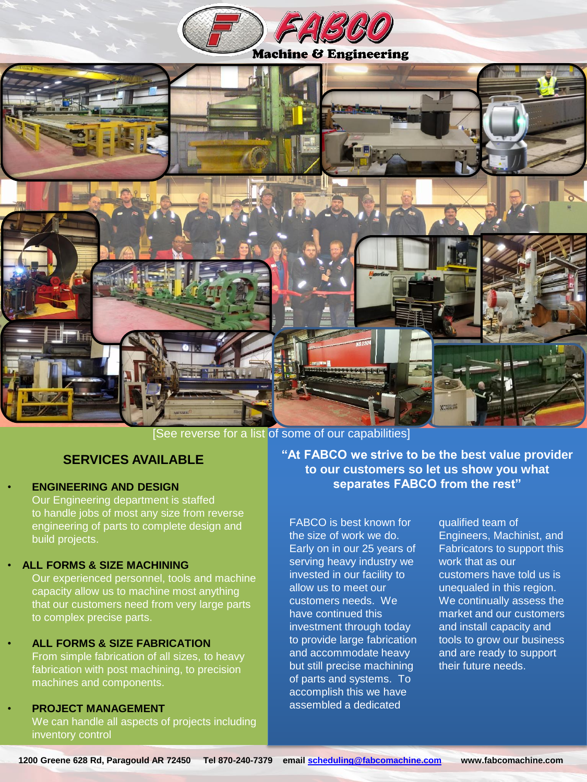



[See reverse for a list of some of our capabilities]

### **SERVICES AVAILABLE**

• **ENGINEERING AND DESIGN** Our Engineering department is staffed to handle jobs of most any size from reverse engineering of parts to complete design and build projects.

#### • **ALL FORMS & SIZE MACHINING**

Our experienced personnel, tools and machine capacity allow us to machine most anything that our customers need from very large parts to complex precise parts.

#### • **ALL FORMS & SIZE FABRICATION** From simple fabrication of all sizes, to heavy fabrication with post machining, to precision machines and components.

#### • **PROJECT MANAGEMENT** We can handle all aspects of projects including inventory control

**"At FABCO we strive to be the best value provider to our customers so let us show you what separates FABCO from the rest"**

FABCO is best known for the size of work we do. Early on in our 25 years of serving heavy industry we invested in our facility to allow us to meet our customers needs. We have continued this investment through today to provide large fabrication and accommodate heavy but still precise machining of parts and systems. To accomplish this we have assembled a dedicated

qualified team of Engineers, Machinist, and Fabricators to support this work that as our customers have told us is unequaled in this region. We continually assess the market and our customers and install capacity and tools to grow our business and are ready to support their future needs.